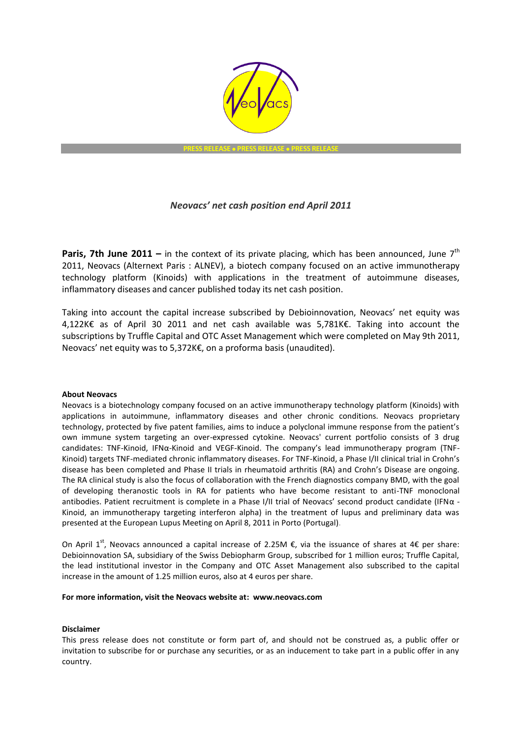

# *Neovacs' net cash position end April 2011*

**Paris, 7th June 2011** – in the context of its private placing, which has been announced, June 7<sup>th</sup> 2011, Neovacs (Alternext Paris : ALNEV), a biotech company focused on an active immunotherapy technology platform (Kinoids) with applications in the treatment of autoimmune diseases, inflammatory diseases and cancer published today its net cash position.

Taking into account the capital increase subscribed by Debioinnovation, Neovacs' net equity was 4,122K€ as of April 30 2011 and net cash available was 5,781K€. Taking into account the subscriptions by Truffle Capital and OTC Asset Management which were completed on May 9th 2011, Neovacs' net equity was to 5,372K€, on a proforma basis (unaudited).

## **About Neovacs**

Neovacs is a biotechnology company focused on an active immunotherapy technology platform (Kinoids) with applications in autoimmune, inflammatory diseases and other chronic conditions. Neovacs proprietary technology, protected by five patent families, aims to induce a polyclonal immune response from the patient's own immune system targeting an over-expressed cytokine. Neovacs' current portfolio consists of 3 drug candidates: TNF-Kinoid, IFNα-Kinoid and VEGF-Kinoid. The company's lead immunotherapy program (TNF-Kinoid) targets TNF-mediated chronic inflammatory diseases. For TNF-Kinoid, a Phase I/II clinical trial in Crohn's disease has been completed and Phase II trials in rheumatoid arthritis (RA) and Crohn's Disease are ongoing. The RA clinical study is also the focus of collaboration with the French diagnostics company BMD, with the goal of developing theranostic tools in RA for patients who have become resistant to anti-TNF monoclonal antibodies. Patient recruitment is complete in a Phase I/II trial of Neovacs' second product candidate (IFNα - Kinoid, an immunotherapy targeting interferon alpha) in the treatment of lupus and preliminary data was presented at the European Lupus Meeting on April 8, 2011 in Porto (Portugal).

On April 1<sup>st</sup>, Neovacs announced a capital increase of 2.25M €, via the issuance of shares at 4€ per share: Debioinnovation SA, subsidiary of the Swiss Debiopharm Group, subscribed for 1 million euros; Truffle Capital, the lead institutional investor in the Company and OTC Asset Management also subscribed to the capital increase in the amount of 1.25 million euros, also at 4 euros per share.

#### **For more information, visit the Neovacs website at: www.neovacs.com**

#### **Disclaimer**

This press release does not constitute or form part of, and should not be construed as, a public offer or invitation to subscribe for or purchase any securities, or as an inducement to take part in a public offer in any country.